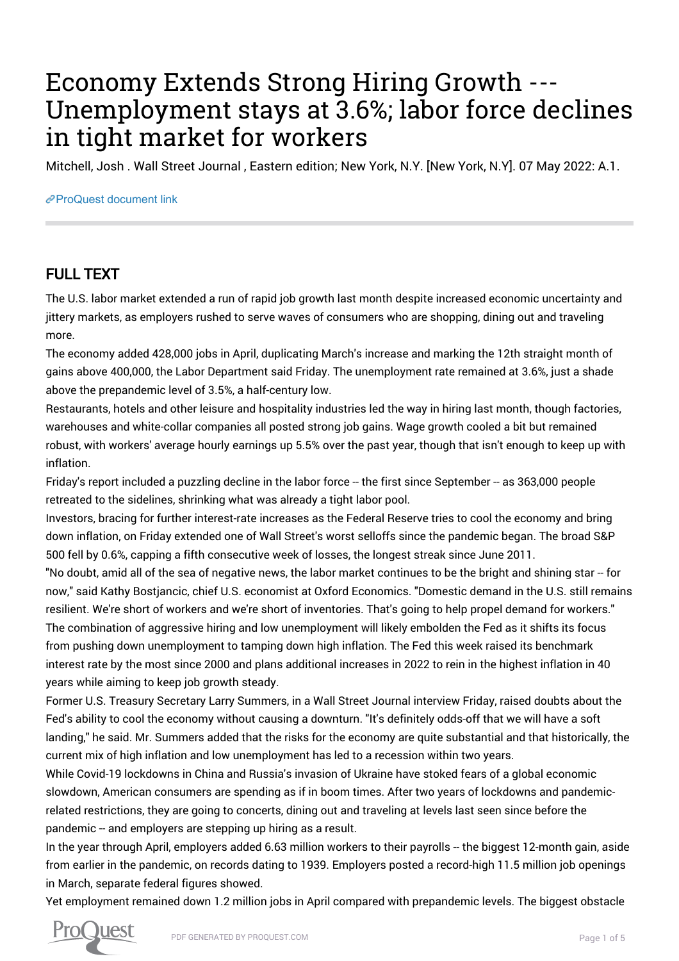## Economy Extends Strong Hiring Growth --- Unemployment stays at 3.6%; labor force declines in tight market for workers

Mitchell, Josh . Wall Street Journal , Eastern edition; New York, N.Y. [New York, N.Y]. 07 May 2022: A.1.

## [ProQuest document link](https://www.proquest.com/newspapers/economy-extends-strong-hiring-growth-unemployment/docview/2660255438/se-2?accountid=44910)

## FULL TEXT

The U.S. labor market extended a run of rapid job growth last month despite increased economic uncertainty and jittery markets, as employers rushed to serve waves of consumers who are shopping, dining out and traveling more.

The economy added 428,000 jobs in April, duplicating March's increase and marking the 12th straight month of gains above 400,000, the Labor Department said Friday. The unemployment rate remained at 3.6%, just a shade above the prepandemic level of 3.5%, a half-century low.

Restaurants, hotels and other leisure and hospitality industries led the way in hiring last month, though factories, warehouses and white-collar companies all posted strong job gains. Wage growth cooled a bit but remained robust, with workers' average hourly earnings up 5.5% over the past year, though that isn't enough to keep up with inflation.

Friday's report included a puzzling decline in the labor force -- the first since September -- as 363,000 people retreated to the sidelines, shrinking what was already a tight labor pool.

Investors, bracing for further interest-rate increases as the Federal Reserve tries to cool the economy and bring down inflation, on Friday extended one of Wall Street's worst selloffs since the pandemic began. The broad S&P 500 fell by 0.6%, capping a fifth consecutive week of losses, the longest streak since June 2011.

"No doubt, amid all of the sea of negative news, the labor market continues to be the bright and shining star -- for now," said Kathy Bostjancic, chief U.S. economist at Oxford Economics. "Domestic demand in the U.S. still remains resilient. We're short of workers and we're short of inventories. That's going to help propel demand for workers." The combination of aggressive hiring and low unemployment will likely embolden the Fed as it shifts its focus from pushing down unemployment to tamping down high inflation. The Fed this week raised its benchmark interest rate by the most since 2000 and plans additional increases in 2022 to rein in the highest inflation in 40 years while aiming to keep job growth steady.

Former U.S. Treasury Secretary Larry Summers, in a Wall Street Journal interview Friday, raised doubts about the Fed's ability to cool the economy without causing a downturn. "It's definitely odds-off that we will have a soft landing," he said. Mr. Summers added that the risks for the economy are quite substantial and that historically, the current mix of high inflation and low unemployment has led to a recession within two years.

While Covid-19 lockdowns in China and Russia's invasion of Ukraine have stoked fears of a global economic slowdown, American consumers are spending as if in boom times. After two years of lockdowns and pandemicrelated restrictions, they are going to concerts, dining out and traveling at levels last seen since before the pandemic -- and employers are stepping up hiring as a result.

In the year through April, employers added 6.63 million workers to their payrolls -- the biggest 12-month gain, aside from earlier in the pandemic, on records dating to 1939. Employers posted a record-high 11.5 million job openings in March, separate federal figures showed.

Yet employment remained down 1.2 million jobs in April compared with prepandemic levels. The biggest obstacle

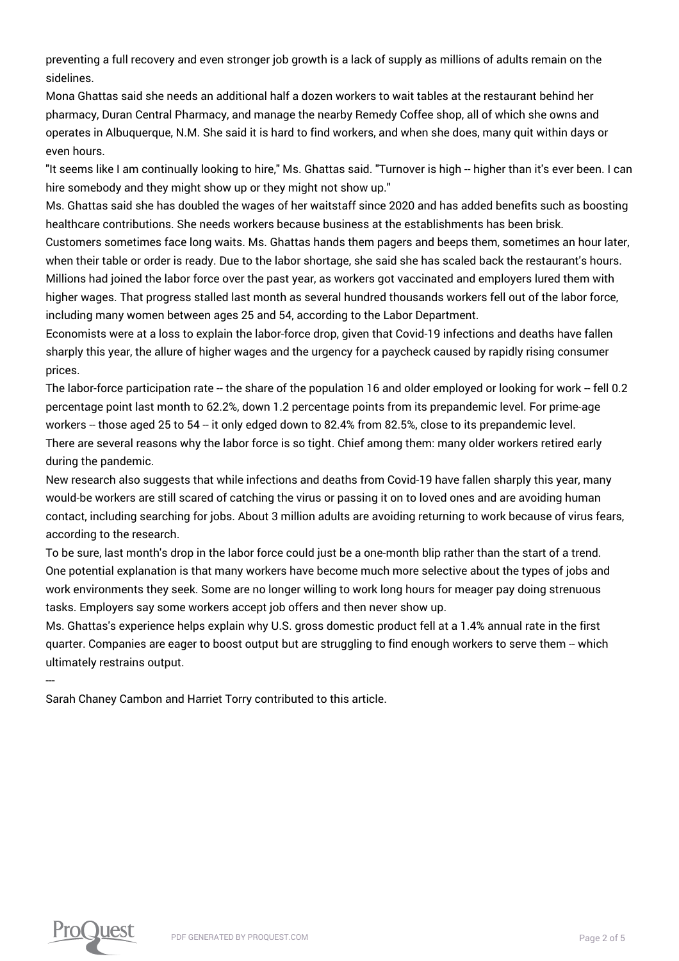preventing a full recovery and even stronger job growth is a lack of supply as millions of adults remain on the sidelines.

Mona Ghattas said she needs an additional half a dozen workers to wait tables at the restaurant behind her pharmacy, Duran Central Pharmacy, and manage the nearby Remedy Coffee shop, all of which she owns and operates in Albuquerque, N.M. She said it is hard to find workers, and when she does, many quit within days or even hours.

"It seems like I am continually looking to hire," Ms. Ghattas said. "Turnover is high -- higher than it's ever been. I can hire somebody and they might show up or they might not show up."

Ms. Ghattas said she has doubled the wages of her waitstaff since 2020 and has added benefits such as boosting healthcare contributions. She needs workers because business at the establishments has been brisk.

Customers sometimes face long waits. Ms. Ghattas hands them pagers and beeps them, sometimes an hour later, when their table or order is ready. Due to the labor shortage, she said she has scaled back the restaurant's hours. Millions had joined the labor force over the past year, as workers got vaccinated and employers lured them with higher wages. That progress stalled last month as several hundred thousands workers fell out of the labor force, including many women between ages 25 and 54, according to the Labor Department.

Economists were at a loss to explain the labor-force drop, given that Covid-19 infections and deaths have fallen sharply this year, the allure of higher wages and the urgency for a paycheck caused by rapidly rising consumer prices.

The labor-force participation rate -- the share of the population 16 and older employed or looking for work -- fell 0.2 percentage point last month to 62.2%, down 1.2 percentage points from its prepandemic level. For prime-age workers -- those aged 25 to 54 -- it only edged down to 82.4% from 82.5%, close to its prepandemic level. There are several reasons why the labor force is so tight. Chief among them: many older workers retired early during the pandemic.

New research also suggests that while infections and deaths from Covid-19 have fallen sharply this year, many would-be workers are still scared of catching the virus or passing it on to loved ones and are avoiding human contact, including searching for jobs. About 3 million adults are avoiding returning to work because of virus fears, according to the research.

To be sure, last month's drop in the labor force could just be a one-month blip rather than the start of a trend. One potential explanation is that many workers have become much more selective about the types of jobs and work environments they seek. Some are no longer willing to work long hours for meager pay doing strenuous tasks. Employers say some workers accept job offers and then never show up.

Ms. Ghattas's experience helps explain why U.S. gross domestic product fell at a 1.4% annual rate in the first quarter. Companies are eager to boost output but are struggling to find enough workers to serve them -- which ultimately restrains output.

Sarah Chaney Cambon and Harriet Torry contributed to this article.



---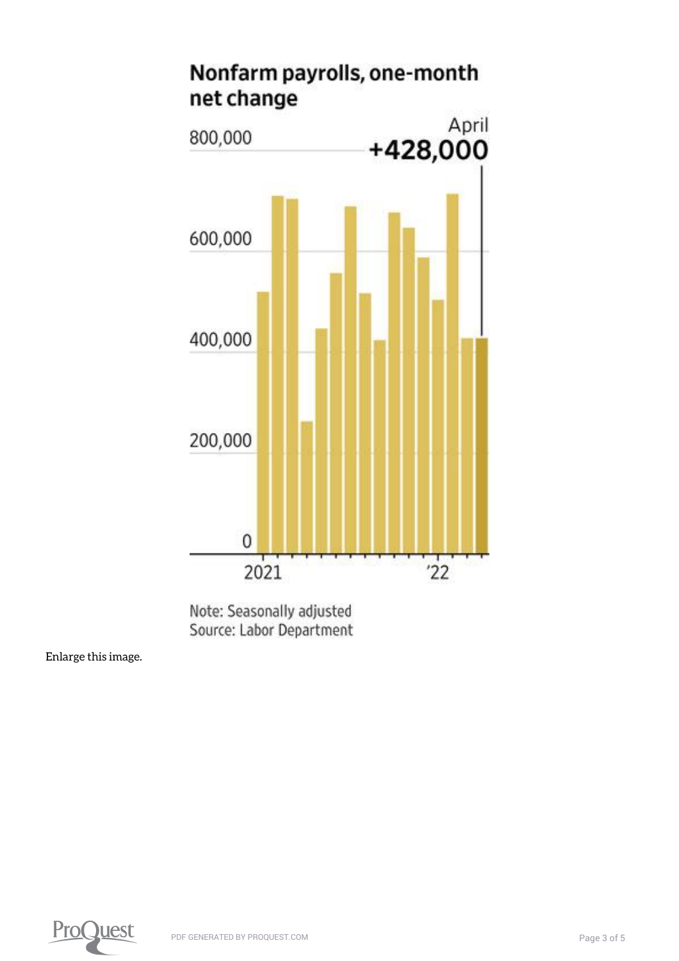

Note: Seasonally adjusted Source: Labor Department

[Enlarge this image.](https://www.proquest.comhttps://www.proquest.com/textgraphic/2660255438/fulltextwithgraphics/3C400CC355E64936PQ/1/1?accountid=44910)

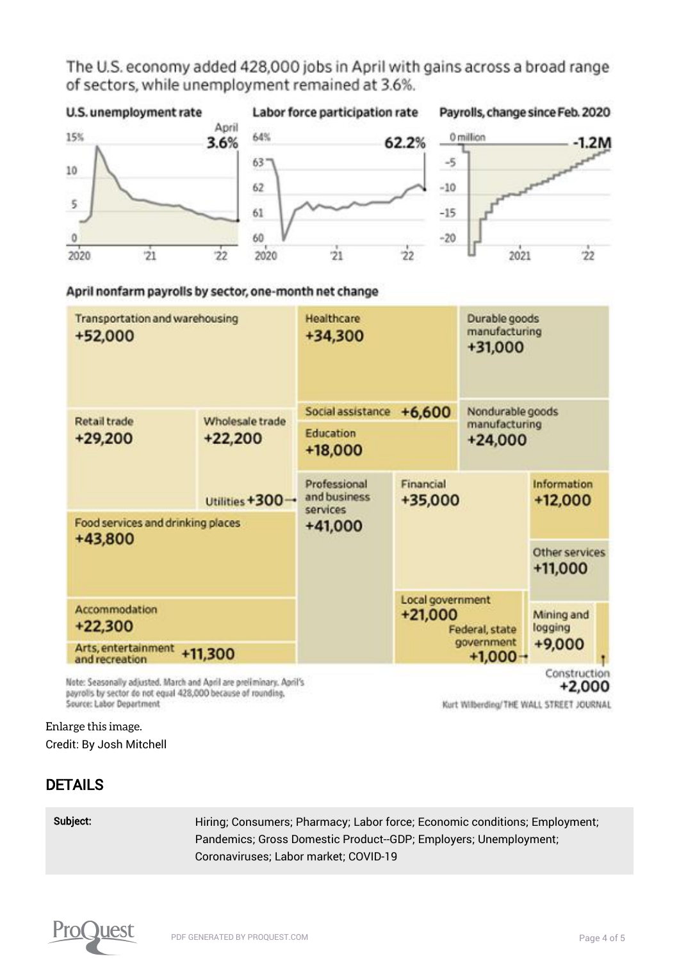The U.S. economy added 428,000 jobs in April with gains across a broad range of sectors, while unemployment remained at 3.6%.



April nonfarm payrolls by sector, one-month net change



payrolls by sector do not equal 428,000 because of rounding. Source: Labor Department

Kurt Wilberding/THE WALL STREET JOURNAL

[Enlarge this image.](https://www.proquest.comhttps://www.proquest.com/textgraphic/2660255438/fulltextwithgraphics/3C400CC355E64936PQ/1/2?accountid=44910) Credit: By Josh Mitchell

## DETAILS

Subject: Hiring; Consumers; Pharmacy; Labor force; Economic conditions; Employment; Pandemics; Gross Domestic Product--GDP; Employers; Unemployment; Coronaviruses; Labor market; COVID-19